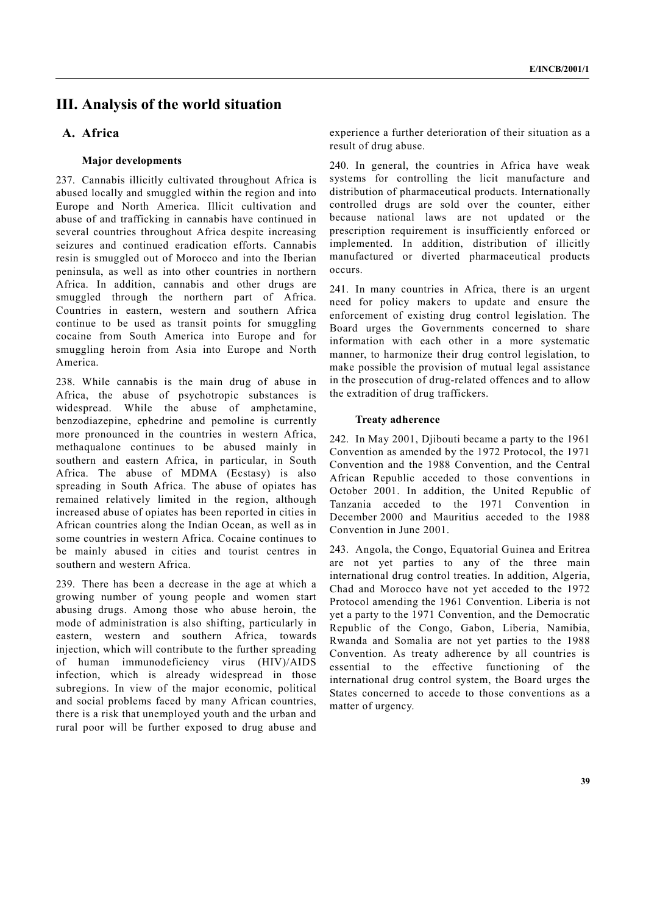# **III. Analysis of the world situation**

# **A. Africa**

### **Major developments**

237. Cannabis illicitly cultivated throughout Africa is abused locally and smuggled within the region and into Europe and North America. Illicit cultivation and abuse of and trafficking in cannabis have continued in several countries throughout Africa despite increasing seizures and continued eradication efforts. Cannabis resin is smuggled out of Morocco and into the Iberian peninsula, as well as into other countries in northern Africa. In addition, cannabis and other drugs are smuggled through the northern part of Africa. Countries in eastern, western and southern Africa continue to be used as transit points for smuggling cocaine from South America into Europe and for smuggling heroin from Asia into Europe and North America.

238. While cannabis is the main drug of abuse in Africa, the abuse of psychotropic substances is widespread. While the abuse of amphetamine, benzodiazepine, ephedrine and pemoline is currently more pronounced in the countries in western Africa, methaqualone continues to be abused mainly in southern and eastern Africa, in particular, in South Africa. The abuse of MDMA (Ecstasy) is also spreading in South Africa. The abuse of opiates has remained relatively limited in the region, although increased abuse of opiates has been reported in cities in African countries along the Indian Ocean, as well as in some countries in western Africa. Cocaine continues to be mainly abused in cities and tourist centres in southern and western Africa.

239. There has been a decrease in the age at which a growing number of young people and women start abusing drugs. Among those who abuse heroin, the mode of administration is also shifting, particularly in eastern, western and southern Africa, towards injection, which will contribute to the further spreading of human immunodeficiency virus (HIV)/AIDS infection, which is already widespread in those subregions. In view of the major economic, political and social problems faced by many African countries, there is a risk that unemployed youth and the urban and rural poor will be further exposed to drug abuse and

experience a further deterioration of their situation as a result of drug abuse.

240. In general, the countries in Africa have weak systems for controlling the licit manufacture and distribution of pharmaceutical products. Internationally controlled drugs are sold over the counter, either because national laws are not updated or the prescription requirement is insufficiently enforced or implemented. In addition, distribution of illicitly manufactured or diverted pharmaceutical products occurs.

241. In many countries in Africa, there is an urgent need for policy makers to update and ensure the enforcement of existing drug control legislation. The Board urges the Governments concerned to share information with each other in a more systematic manner, to harmonize their drug control legislation, to make possible the provision of mutual legal assistance in the prosecution of drug-related offences and to allow the extradition of drug traffickers.

### **Treaty adherence**

242. In May 2001, Djibouti became a party to the 1961 Convention as amended by the 1972 Protocol, the 1971 Convention and the 1988 Convention, and the Central African Republic acceded to those conventions in October 2001. In addition, the United Republic of Tanzania acceded to the 1971 Convention in December 2000 and Mauritius acceded to the 1988 Convention in June 2001.

243. Angola, the Congo, Equatorial Guinea and Eritrea are not yet parties to any of the three main international drug control treaties. In addition, Algeria, Chad and Morocco have not yet acceded to the 1972 Protocol amending the 1961 Convention. Liberia is not yet a party to the 1971 Convention, and the Democratic Republic of the Congo, Gabon, Liberia, Namibia, Rwanda and Somalia are not yet parties to the 1988 Convention. As treaty adherence by all countries is essential to the effective functioning of the international drug control system, the Board urges the States concerned to accede to those conventions as a matter of urgency.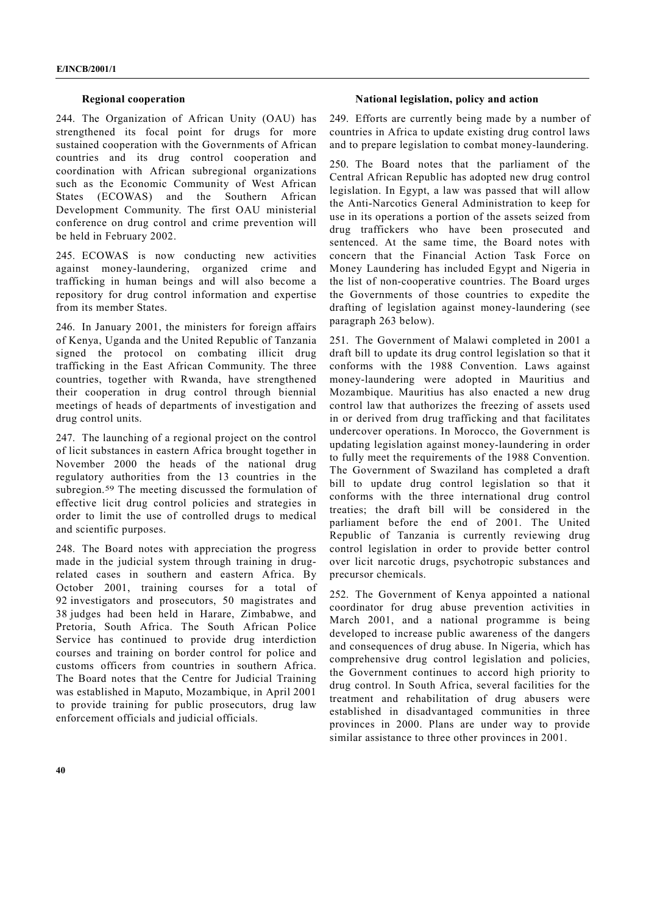#### **Regional cooperation**

244. The Organization of African Unity (OAU) has strengthened its focal point for drugs for more sustained cooperation with the Governments of African countries and its drug control cooperation and coordination with African subregional organizations such as the Economic Community of West African States (ECOWAS) and the Southern African Development Community. The first OAU ministerial conference on drug control and crime prevention will be held in February 2002.

245. ECOWAS is now conducting new activities against money-laundering, organized crime and trafficking in human beings and will also become a repository for drug control information and expertise from its member States.

246. In January 2001, the ministers for foreign affairs of Kenya, Uganda and the United Republic of Tanzania signed the protocol on combating illicit drug trafficking in the East African Community. The three countries, together with Rwanda, have strengthened their cooperation in drug control through biennial meetings of heads of departments of investigation and drug control units.

247. The launching of a regional project on the control of licit substances in eastern Africa brought together in November 2000 the heads of the national drug regulatory authorities from the 13 countries in the subregion.59 The meeting discussed the formulation of effective licit drug control policies and strategies in order to limit the use of controlled drugs to medical and scientific purposes.

248. The Board notes with appreciation the progress made in the judicial system through training in drugrelated cases in southern and eastern Africa. By October 2001, training courses for a total of 92 investigators and prosecutors, 50 magistrates and 38 judges had been held in Harare, Zimbabwe, and Pretoria, South Africa. The South African Police Service has continued to provide drug interdiction courses and training on border control for police and customs officers from countries in southern Africa. The Board notes that the Centre for Judicial Training was established in Maputo, Mozambique, in April 2001 to provide training for public prosecutors, drug law enforcement officials and judicial officials.

#### **National legislation, policy and action**

249. Efforts are currently being made by a number of countries in Africa to update existing drug control laws and to prepare legislation to combat money-laundering.

250. The Board notes that the parliament of the Central African Republic has adopted new drug control legislation. In Egypt, a law was passed that will allow the Anti-Narcotics General Administration to keep for use in its operations a portion of the assets seized from drug traffickers who have been prosecuted and sentenced. At the same time, the Board notes with concern that the Financial Action Task Force on Money Laundering has included Egypt and Nigeria in the list of non-cooperative countries. The Board urges the Governments of those countries to expedite the drafting of legislation against money-laundering (see paragraph 263 below).

251. The Government of Malawi completed in 2001 a draft bill to update its drug control legislation so that it conforms with the 1988 Convention. Laws against money-laundering were adopted in Mauritius and Mozambique. Mauritius has also enacted a new drug control law that authorizes the freezing of assets used in or derived from drug trafficking and that facilitates undercover operations. In Morocco, the Government is updating legislation against money-laundering in order to fully meet the requirements of the 1988 Convention. The Government of Swaziland has completed a draft bill to update drug control legislation so that it conforms with the three international drug control treaties; the draft bill will be considered in the parliament before the end of 2001. The United Republic of Tanzania is currently reviewing drug control legislation in order to provide better control over licit narcotic drugs, psychotropic substances and precursor chemicals.

252. The Government of Kenya appointed a national coordinator for drug abuse prevention activities in March 2001, and a national programme is being developed to increase public awareness of the dangers and consequences of drug abuse. In Nigeria, which has comprehensive drug control legislation and policies, the Government continues to accord high priority to drug control. In South Africa, several facilities for the treatment and rehabilitation of drug abusers were established in disadvantaged communities in three provinces in 2000. Plans are under way to provide similar assistance to three other provinces in 2001.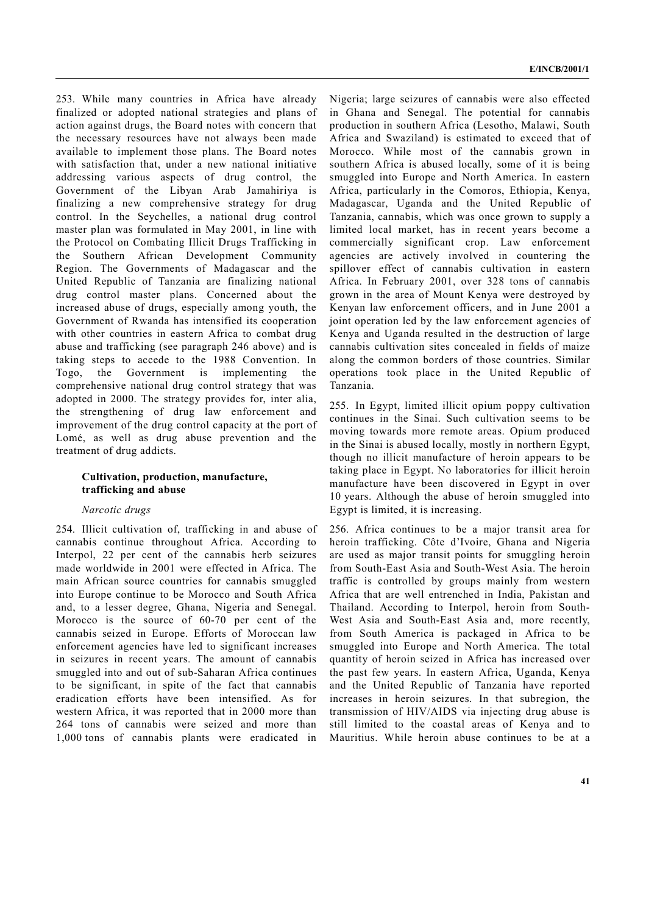253. While many countries in Africa have already finalized or adopted national strategies and plans of action against drugs, the Board notes with concern that the necessary resources have not always been made available to implement those plans. The Board notes with satisfaction that, under a new national initiative addressing various aspects of drug control, the Government of the Libyan Arab Jamahiriya is finalizing a new comprehensive strategy for drug control. In the Seychelles, a national drug control master plan was formulated in May 2001, in line with the Protocol on Combating Illicit Drugs Trafficking in the Southern African Development Community Region. The Governments of Madagascar and the United Republic of Tanzania are finalizing national drug control master plans. Concerned about the increased abuse of drugs, especially among youth, the Government of Rwanda has intensified its cooperation with other countries in eastern Africa to combat drug abuse and trafficking (see paragraph 246 above) and is taking steps to accede to the 1988 Convention. In Togo, the Government is implementing the comprehensive national drug control strategy that was adopted in 2000. The strategy provides for, inter alia, the strengthening of drug law enforcement and improvement of the drug control capacity at the port of Lomé, as well as drug abuse prevention and the treatment of drug addicts.

## **Cultivation, production, manufacture, trafficking and abuse**

### *Narcotic drugs*

254. Illicit cultivation of, trafficking in and abuse of cannabis continue throughout Africa. According to Interpol, 22 per cent of the cannabis herb seizures made worldwide in 2001 were effected in Africa. The main African source countries for cannabis smuggled into Europe continue to be Morocco and South Africa and, to a lesser degree, Ghana, Nigeria and Senegal. Morocco is the source of 60-70 per cent of the cannabis seized in Europe. Efforts of Moroccan law enforcement agencies have led to significant increases in seizures in recent years. The amount of cannabis smuggled into and out of sub-Saharan Africa continues to be significant, in spite of the fact that cannabis eradication efforts have been intensified. As for western Africa, it was reported that in 2000 more than 264 tons of cannabis were seized and more than 1,000 tons of cannabis plants were eradicated in

Nigeria; large seizures of cannabis were also effected in Ghana and Senegal. The potential for cannabis production in southern Africa (Lesotho, Malawi, South Africa and Swaziland) is estimated to exceed that of Morocco. While most of the cannabis grown in southern Africa is abused locally, some of it is being smuggled into Europe and North America. In eastern Africa, particularly in the Comoros, Ethiopia, Kenya, Madagascar, Uganda and the United Republic of Tanzania, cannabis, which was once grown to supply a limited local market, has in recent years become a commercially significant crop. Law enforcement agencies are actively involved in countering the spillover effect of cannabis cultivation in eastern Africa. In February 2001, over 328 tons of cannabis grown in the area of Mount Kenya were destroyed by Kenyan law enforcement officers, and in June 2001 a joint operation led by the law enforcement agencies of Kenya and Uganda resulted in the destruction of large cannabis cultivation sites concealed in fields of maize along the common borders of those countries. Similar operations took place in the United Republic of Tanzania.

255. In Egypt, limited illicit opium poppy cultivation continues in the Sinai. Such cultivation seems to be moving towards more remote areas. Opium produced in the Sinai is abused locally, mostly in northern Egypt, though no illicit manufacture of heroin appears to be taking place in Egypt. No laboratories for illicit heroin manufacture have been discovered in Egypt in over 10 years. Although the abuse of heroin smuggled into Egypt is limited, it is increasing.

256. Africa continues to be a major transit area for heroin trafficking. Côte d'Ivoire, Ghana and Nigeria are used as major transit points for smuggling heroin from South-East Asia and South-West Asia. The heroin traffic is controlled by groups mainly from western Africa that are well entrenched in India, Pakistan and Thailand. According to Interpol, heroin from South-West Asia and South-East Asia and, more recently, from South America is packaged in Africa to be smuggled into Europe and North America. The total quantity of heroin seized in Africa has increased over the past few years. In eastern Africa, Uganda, Kenya and the United Republic of Tanzania have reported increases in heroin seizures. In that subregion, the transmission of HIV/AIDS via injecting drug abuse is still limited to the coastal areas of Kenya and to Mauritius. While heroin abuse continues to be at a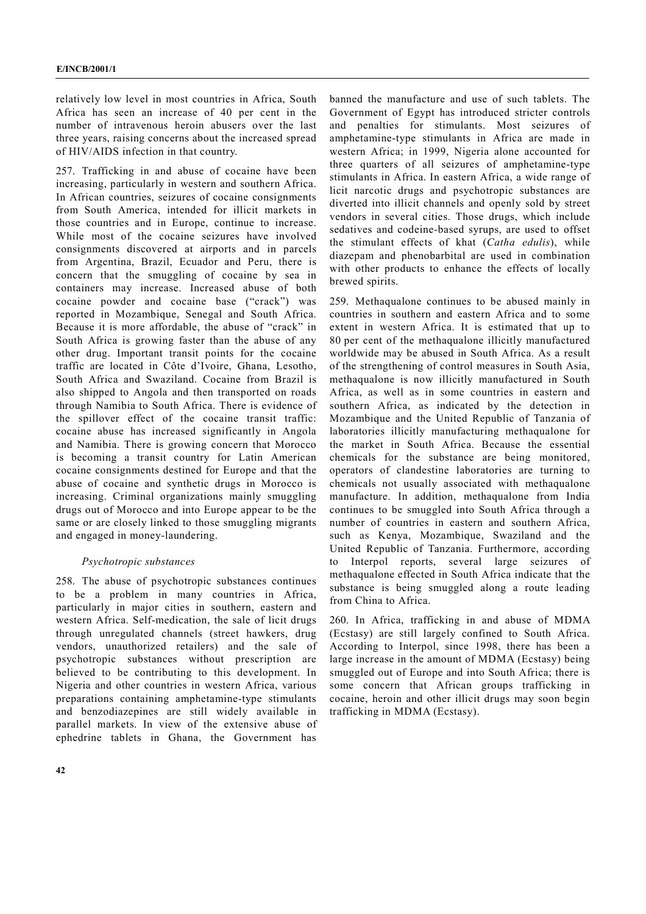relatively low level in most countries in Africa, South Africa has seen an increase of 40 per cent in the number of intravenous heroin abusers over the last three years, raising concerns about the increased spread of HIV/AIDS infection in that country.

257. Trafficking in and abuse of cocaine have been increasing, particularly in western and southern Africa. In African countries, seizures of cocaine consignments from South America, intended for illicit markets in those countries and in Europe, continue to increase. While most of the cocaine seizures have involved consignments discovered at airports and in parcels from Argentina, Brazil, Ecuador and Peru, there is concern that the smuggling of cocaine by sea in containers may increase. Increased abuse of both cocaine powder and cocaine base ("crack") was reported in Mozambique, Senegal and South Africa. Because it is more affordable, the abuse of "crack" in South Africa is growing faster than the abuse of any other drug. Important transit points for the cocaine traffic are located in Côte d'Ivoire, Ghana, Lesotho, South Africa and Swaziland. Cocaine from Brazil is also shipped to Angola and then transported on roads through Namibia to South Africa. There is evidence of the spillover effect of the cocaine transit traffic: cocaine abuse has increased significantly in Angola and Namibia. There is growing concern that Morocco is becoming a transit country for Latin American cocaine consignments destined for Europe and that the abuse of cocaine and synthetic drugs in Morocco is increasing. Criminal organizations mainly smuggling drugs out of Morocco and into Europe appear to be the same or are closely linked to those smuggling migrants and engaged in money-laundering.

### *Psychotropic substances*

258. The abuse of psychotropic substances continues to be a problem in many countries in Africa, particularly in major cities in southern, eastern and western Africa. Self-medication, the sale of licit drugs through unregulated channels (street hawkers, drug vendors, unauthorized retailers) and the sale of psychotropic substances without prescription are believed to be contributing to this development. In Nigeria and other countries in western Africa, various preparations containing amphetamine-type stimulants and benzodiazepines are still widely available in parallel markets. In view of the extensive abuse of ephedrine tablets in Ghana, the Government has

banned the manufacture and use of such tablets. The Government of Egypt has introduced stricter controls and penalties for stimulants. Most seizures of amphetamine-type stimulants in Africa are made in western Africa; in 1999, Nigeria alone accounted for three quarters of all seizures of amphetamine-type stimulants in Africa. In eastern Africa, a wide range of licit narcotic drugs and psychotropic substances are diverted into illicit channels and openly sold by street vendors in several cities. Those drugs, which include sedatives and codeine-based syrups, are used to offset the stimulant effects of khat (*Catha edulis*), while diazepam and phenobarbital are used in combination with other products to enhance the effects of locally brewed spirits.

259. Methaqualone continues to be abused mainly in countries in southern and eastern Africa and to some extent in western Africa. It is estimated that up to 80 per cent of the methaqualone illicitly manufactured worldwide may be abused in South Africa. As a result of the strengthening of control measures in South Asia, methaqualone is now illicitly manufactured in South Africa, as well as in some countries in eastern and southern Africa, as indicated by the detection in Mozambique and the United Republic of Tanzania of laboratories illicitly manufacturing methaqualone for the market in South Africa. Because the essential chemicals for the substance are being monitored, operators of clandestine laboratories are turning to chemicals not usually associated with methaqualone manufacture. In addition, methaqualone from India continues to be smuggled into South Africa through a number of countries in eastern and southern Africa, such as Kenya, Mozambique, Swaziland and the United Republic of Tanzania. Furthermore, according to Interpol reports, several large seizures of methaqualone effected in South Africa indicate that the substance is being smuggled along a route leading from China to Africa.

260. In Africa, trafficking in and abuse of MDMA (Ecstasy) are still largely confined to South Africa. According to Interpol, since 1998, there has been a large increase in the amount of MDMA (Ecstasy) being smuggled out of Europe and into South Africa; there is some concern that African groups trafficking in cocaine, heroin and other illicit drugs may soon begin trafficking in MDMA (Ecstasy).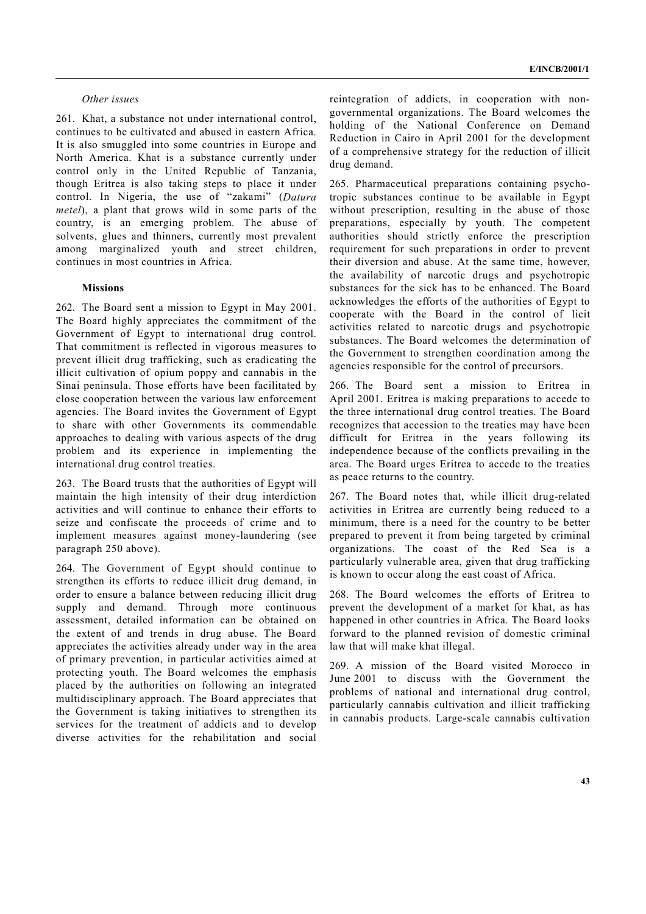### *Other issues*

261. Khat, a substance not under international control, continues to be cultivated and abused in eastern Africa. It is also smuggled into some countries in Europe and North America. Khat is a substance currently under control only in the United Republic of Tanzania, though Eritrea is also taking steps to place it under control. In Nigeria, the use of "zakami" (*Datura metel*), a plant that grows wild in some parts of the country, is an emerging problem. The abuse of solvents, glues and thinners, currently most prevalent among marginalized youth and street children, continues in most countries in Africa.

### **Missions**

262. The Board sent a mission to Egypt in May 2001. The Board highly appreciates the commitment of the Government of Egypt to international drug control. That commitment is reflected in vigorous measures to prevent illicit drug trafficking, such as eradicating the illicit cultivation of opium poppy and cannabis in the Sinai peninsula. Those efforts have been facilitated by close cooperation between the various law enforcement agencies. The Board invites the Government of Egypt to share with other Governments its commendable approaches to dealing with various aspects of the drug problem and its experience in implementing the international drug control treaties.

263. The Board trusts that the authorities of Egypt will maintain the high intensity of their drug interdiction activities and will continue to enhance their efforts to seize and confiscate the proceeds of crime and to implement measures against money-laundering (see paragraph 250 above).

264. The Government of Egypt should continue to strengthen its efforts to reduce illicit drug demand, in order to ensure a balance between reducing illicit drug supply and demand. Through more continuous assessment, detailed information can be obtained on the extent of and trends in drug abuse. The Board appreciates the activities already under way in the area of primary prevention, in particular activities aimed at protecting youth. The Board welcomes the emphasis placed by the authorities on following an integrated multidisciplinary approach. The Board appreciates that the Government is taking initiatives to strengthen its services for the treatment of addicts and to develop diverse activities for the rehabilitation and social

reintegration of addicts, in cooperation with nongovernmental organizations. The Board welcomes the holding of the National Conference on Demand Reduction in Cairo in April 2001 for the development of a comprehensive strategy for the reduction of illicit drug demand.

265. Pharmaceutical preparations containing psychotropic substances continue to be available in Egypt without prescription, resulting in the abuse of those preparations, especially by youth. The competent authorities should strictly enforce the prescription requirement for such preparations in order to prevent their diversion and abuse. At the same time, however, the availability of narcotic drugs and psychotropic substances for the sick has to be enhanced. The Board acknowledges the efforts of the authorities of Egypt to cooperate with the Board in the control of licit activities related to narcotic drugs and psychotropic substances. The Board welcomes the determination of the Government to strengthen coordination among the agencies responsible for the control of precursors.

266. The Board sent a mission to Eritrea in April 2001. Eritrea is making preparations to accede to the three international drug control treaties. The Board recognizes that accession to the treaties may have been difficult for Eritrea in the years following its independence because of the conflicts prevailing in the area. The Board urges Eritrea to accede to the treaties as peace returns to the country.

267. The Board notes that, while illicit drug-related activities in Eritrea are currently being reduced to a minimum, there is a need for the country to be better prepared to prevent it from being targeted by criminal organizations. The coast of the Red Sea is a particularly vulnerable area, given that drug trafficking is known to occur along the east coast of Africa.

268. The Board welcomes the efforts of Eritrea to prevent the development of a market for khat, as has happened in other countries in Africa. The Board looks forward to the planned revision of domestic criminal law that will make khat illegal.

269. A mission of the Board visited Morocco in June 2001 to discuss with the Government the problems of national and international drug control, particularly cannabis cultivation and illicit trafficking in cannabis products. Large-scale cannabis cultivation